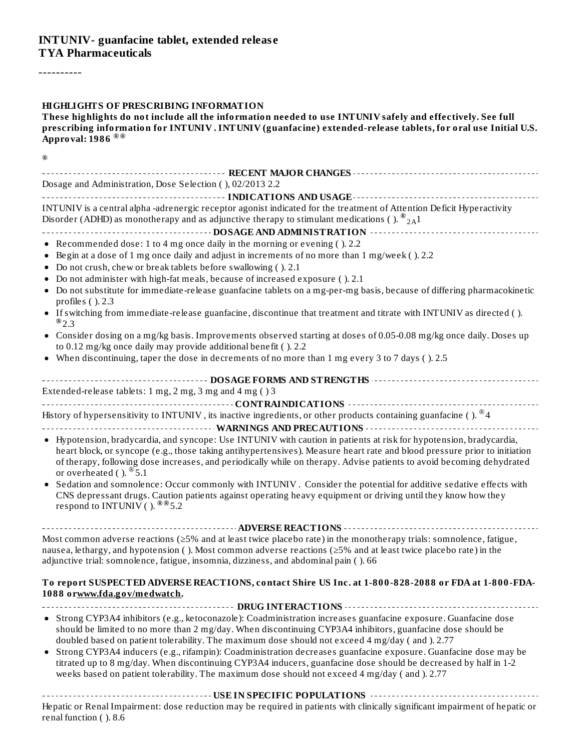----------

#### **HIGHLIGHTS OF PRESCRIBING INFORMATION**

These highlights do not include all the information needed to use INTUNIV safely and effectively. See full **prescribing information for INTUNIV . INTUNIV (guanfacine) extended-release tablets, for oral use Initial U.S. Approval: 1986 ® ®**

**®**

| Dosage and Administration, Dose Selection (), 02/2013 2.2                                                                           |
|-------------------------------------------------------------------------------------------------------------------------------------|
|                                                                                                                                     |
| INTUNIV is a central alpha-adrenergic receptor agonist indicated for the treatment of Attention Deficit Hyperactivity               |
| Disorder (ADHD) as monotherapy and as adjunctive therapy to stimulant medications ( ). $\frac{\otimes_{2A}1}{2}$                    |
|                                                                                                                                     |
| • Recommended dose: 1 to 4 mg once daily in the morning or evening (). 2.2                                                          |
| Begin at a dose of 1 mg once daily and adjust in increments of no more than 1 mg/week (). 2.2<br>٠                                  |
| Do not crush, chew or break tablets before swallowing (). 2.1                                                                       |
| Do not administer with high-fat meals, because of increased exposure (). 2.1                                                        |
| Do not substitute for immediate-release guanfacine tablets on a mg-per-mg basis, because of differing pharmacokinetic               |
| profiles $($ ). 2.3                                                                                                                 |
| If switching from immediate-release guanfacine, discontinue that treatment and titrate with INTUNIV as directed ().                 |
| $^{\circledR}$ 2.3                                                                                                                  |
| Consider dosing on a mg/kg basis. Improvements observed starting at doses of 0.05-0.08 mg/kg once daily. Doses up                   |
| to 0.12 mg/kg once daily may provide additional benefit (). 2.2                                                                     |
| • When discontinuing, taper the dose in decrements of no more than 1 mg every 3 to 7 days (). 2.5                                   |
|                                                                                                                                     |
| Extended-release tablets: 1 mg, 2 mg, 3 mg and 4 mg () 3                                                                            |
|                                                                                                                                     |
| History of hypersensitivity to INTUNIV, its inactive ingredients, or other products containing guanfacine (). $^{\circ\circ}4$      |
|                                                                                                                                     |
| • Hypotension, bradycardia, and syncope: Use INTUNIV with caution in patients at risk for hypotension, bradycardia,                 |
| heart block, or syncope (e.g., those taking antihypertensives). Measure heart rate and blood pressure prior to initiation           |
| of therapy, following dose increases, and periodically while on therapy. Advise patients to avoid becoming dehydrated               |
| or overheated ( ). $^{\circ}\text{5.1}$                                                                                             |
| Sedation and somnolence: Occur commonly with INTUNIV. Consider the potential for additive sedative effects with                     |
| CNS depressant drugs. Caution patients against operating heavy equipment or driving until they know how they                        |
| respond to INTUNIV ( $)$ . ®® 5.2                                                                                                   |
|                                                                                                                                     |
| Most common adverse reactions ( $\geq$ 5% and at least twice placebo rate) in the monotherapy trials: somnolence, fatigue,          |
| nausea, lethargy, and hypotension (). Most common adverse reactions ( $\geq$ 5% and at least twice placebo rate) in the             |
| adjunctive trial: somnolence, fatigue, insomnia, dizziness, and abdominal pain (). 66                                               |
|                                                                                                                                     |
| To report SUSPECTED ADVERSE REACTIONS, contact Shire US Inc. at 1-800-828-2088 or FDA at 1-800-FDA-<br>1088 orwww.fda.gov/medwatch. |
| -------- DRUG INTERACTIONS ------------                                                                                             |
| Strong CYP3A4 inhibitors (e.g., ketoconazole): Coadministration increases guanfacine exposure. Guanfacine dose                      |
| should be limited to no more than 2 mg/day. When discontinuing CYP3A4 inhibitors, guanfacine dose should be                         |
| doubled based on patient tolerability. The maximum dose should not exceed 4 mg/day ( and ). 2.77                                    |
| Strong CYP3A4 inducers (e.g., rifampin): Coadministration decreases guanfacine exposure. Guanfacine dose may be                     |
| titrated up to 8 mg/day. When discontinuing CYP3A4 inducers, guanfacine dose should be decreased by half in 1-2                     |
| weeks based on patient tolerability. The maximum dose should not exceed 4 mg/day (and ). 2.77                                       |

**USE IN SPECIFIC POPULATIONS** Hepatic or Renal Impairment: dose reduction may be required in patients with clinically significant impairment of hepatic or renal function ( ). 8.6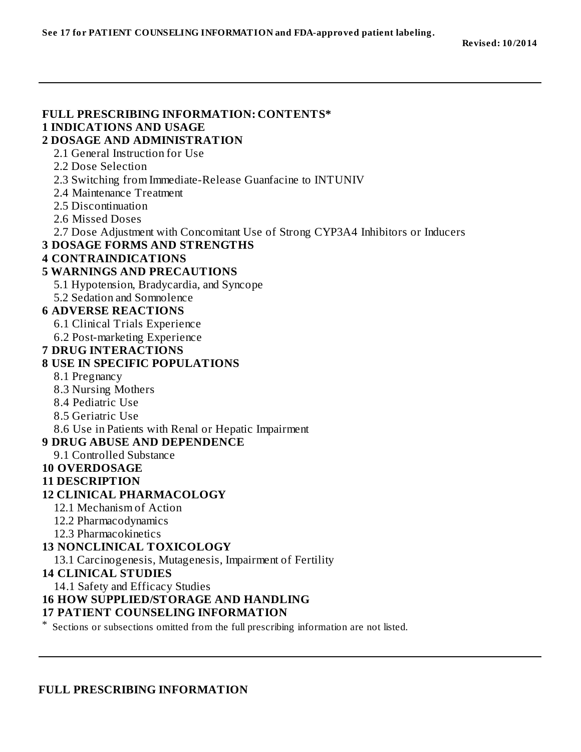| <b>FULL PRESCRIBING INFORMATION: CONTENTS*</b>                                        |
|---------------------------------------------------------------------------------------|
| <b>1 INDICATIONS AND USAGE</b>                                                        |
| <b>2 DOSAGE AND ADMINISTRATION</b>                                                    |
| 2.1 General Instruction for Use                                                       |
| 2.2 Dose Selection                                                                    |
| 2.3 Switching from Immediate-Release Guanfacine to INTUNIV                            |
| 2.4 Maintenance Treatment                                                             |
| 2.5 Discontinuation                                                                   |
| 2.6 Missed Doses                                                                      |
| 2.7 Dose Adjustment with Concomitant Use of Strong CYP3A4 Inhibitors or Inducers      |
| <b>3 DOSAGE FORMS AND STRENGTHS</b>                                                   |
| <b>4 CONTRAINDICATIONS</b>                                                            |
| <b>5 WARNINGS AND PRECAUTIONS</b>                                                     |
| 5.1 Hypotension, Bradycardia, and Syncope                                             |
| 5.2 Sedation and Somnolence                                                           |
| <b>6 ADVERSE REACTIONS</b>                                                            |
| 6.1 Clinical Trials Experience                                                        |
| 6.2 Post-marketing Experience                                                         |
| <b>7 DRUG INTERACTIONS</b>                                                            |
| <b>8 USE IN SPECIFIC POPULATIONS</b>                                                  |
| 8.1 Pregnancy                                                                         |
| 8.3 Nursing Mothers                                                                   |
| 8.4 Pediatric Use                                                                     |
| 8.5 Geriatric Use                                                                     |
| 8.6 Use in Patients with Renal or Hepatic Impairment                                  |
| <b>9 DRUG ABUSE AND DEPENDENCE</b>                                                    |
| 9.1 Controlled Substance                                                              |
| <b>10 OVERDOSAGE</b>                                                                  |
| <b>11 DESCRIPTION</b>                                                                 |
| <b>12 CLINICAL PHARMACOLOGY</b>                                                       |
| 12.1 Mechanism of Action                                                              |
| 12.2 Pharmacodynamics                                                                 |
| 12.3 Pharmacokinetics                                                                 |
| <b>13 NONCLINICAL TOXICOLOGY</b>                                                      |
| 13.1 Carcinogenesis, Mutagenesis, Impairment of Fertility                             |
| <b>14 CLINICAL STUDIES</b>                                                            |
| 14.1 Safety and Efficacy Studies                                                      |
| <b>16 HOW SUPPLIED/STORAGE AND HANDLING</b>                                           |
| <b>17 PATIENT COUNSELING INFORMATION</b>                                              |
| Sections or subsections omitted from the full prescribing information are not listed. |
|                                                                                       |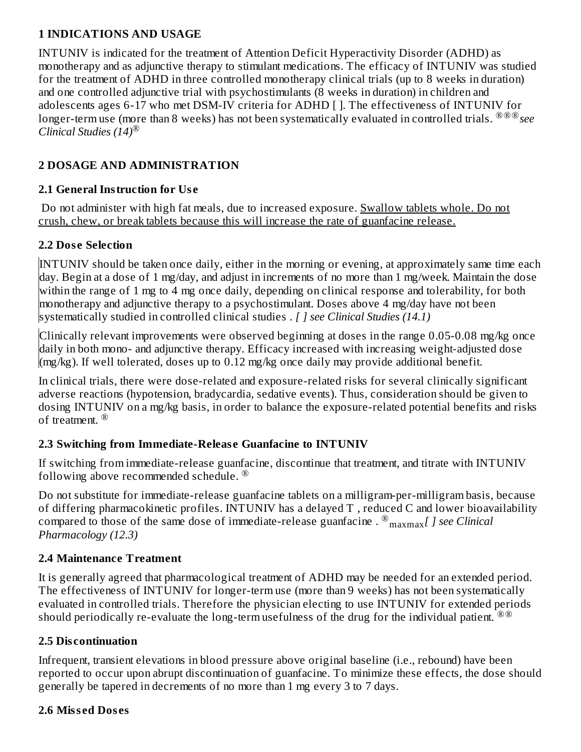#### **1 INDICATIONS AND USAGE**

INTUNIV is indicated for the treatment of Attention Deficit Hyperactivity Disorder (ADHD) as monotherapy and as adjunctive therapy to stimulant medications. The efficacy of INTUNIV was studied for the treatment of ADHD in three controlled monotherapy clinical trials (up to 8 weeks in duration) and one controlled adjunctive trial with psychostimulants (8 weeks in duration) in children and adolescents ages 6-17 who met DSM-IV criteria for ADHD [ ]. The effectiveness of INTUNIV for longer-term use (more than 8 weeks) has not been systematically evaluated in controlled trials. <sup>®®®</sup>*see Clinical Studies (14)* ®

### **2 DOSAGE AND ADMINISTRATION**

#### **2.1 General Instruction for Us e**

Do not administer with high fat meals, due to increased exposure. Swallow tablets whole. Do not crush, chew, or break tablets because this will increase the rate of guanfacine release.

#### **2.2 Dos e Selection**

INTUNIV should be taken once daily, either in the morning or evening, at approximately same time each day. Begin at a dose of 1 mg/day, and adjust in increments of no more than 1 mg/week. Maintain the dose within the range of 1 mg to 4 mg once daily, depending on clinical response and tolerability, for both monotherapy and adjunctive therapy to a psychostimulant. Doses above 4 mg/day have not been systematically studied in controlled clinical studies . *[ ] see Clinical Studies (14.1)*

Clinically relevant improvements were observed beginning at doses in the range 0.05-0.08 mg/kg once daily in both mono- and adjunctive therapy. Efficacy increased with increasing weight-adjusted dose (mg/kg). If well tolerated, doses up to 0.12 mg/kg once daily may provide additional benefit.

In clinical trials, there were dose-related and exposure-related risks for several clinically significant adverse reactions (hypotension, bradycardia, sedative events). Thus, consideration should be given to dosing INTUNIV on a mg/kg basis, in order to balance the exposure-related potential benefits and risks of treatment. ®

### **2.3 Switching from Immediate-Releas e Guanfacine to INTUNIV**

If switching from immediate-release guanfacine, discontinue that treatment, and titrate with INTUNIV following above recommended schedule. ®

Do not substitute for immediate-release guanfacine tablets on a milligram-per-milligram basis, because of differing pharmacokinetic profiles. INTUNIV has a delayed T , reduced C and lower bioavailability compared to those of the same dose of immediate-release guanfacine . *[ ] see Clinical* ® maxmax *Pharmacology (12.3)*

### **2.4 Maintenance Treatment**

It is generally agreed that pharmacological treatment of ADHD may be needed for an extended period. The effectiveness of INTUNIV for longer-term use (more than 9 weeks) has not been systematically evaluated in controlled trials. Therefore the physician electing to use INTUNIV for extended periods should periodically re-evaluate the long-term usefulness of the drug for the individual patient.  $^{\circledR\circledR}$ 

#### **2.5 Dis continuation**

Infrequent, transient elevations in blood pressure above original baseline (i.e., rebound) have been reported to occur upon abrupt discontinuation of guanfacine. To minimize these effects, the dose should generally be tapered in decrements of no more than 1 mg every 3 to 7 days.

### **2.6 Miss ed Dos es**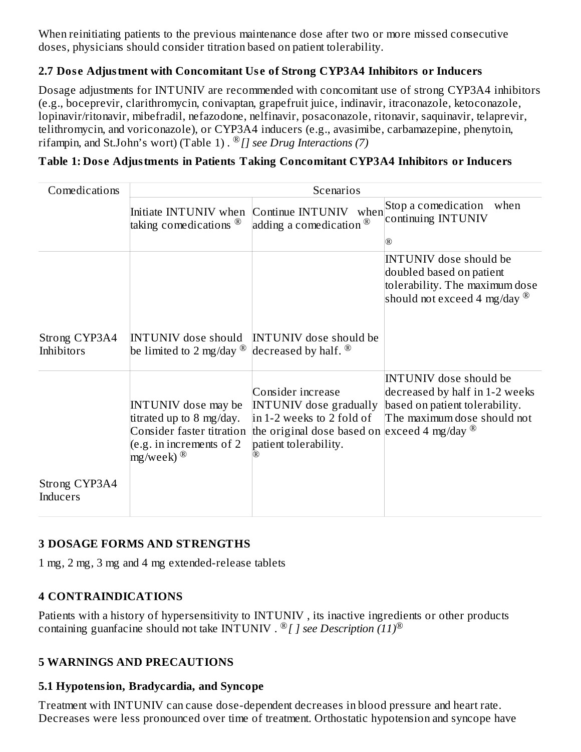When reinitiating patients to the previous maintenance dose after two or more missed consecutive doses, physicians should consider titration based on patient tolerability.

### **2.7 Dos e Adjustment with Concomitant Us e of Strong CYP3A4 Inhibitors or Inducers**

Dosage adjustments for INTUNIV are recommended with concomitant use of strong CYP3A4 inhibitors (e.g., boceprevir, clarithromycin, conivaptan, grapefruit juice, indinavir, itraconazole, ketoconazole, lopinavir/ritonavir, mibefradil, nefazodone, nelfinavir, posaconazole, ritonavir, saquinavir, telaprevir, telithromycin, and voriconazole), or CYP3A4 inducers (e.g., avasimibe, carbamazepine, phenytoin, rifampin, and St.John's wort) (Table 1) . *[] see Drug Interactions (7)* ®

#### **Table 1: Dos e Adjustments in Patients Taking Concomitant CYP3A4 Inhibitors or Inducers**

| Comedications                      | <b>Scenarios</b>                                                                                                                      |                                                                                                                                                                       |                                                                                                                                          |  |  |  |  |
|------------------------------------|---------------------------------------------------------------------------------------------------------------------------------------|-----------------------------------------------------------------------------------------------------------------------------------------------------------------------|------------------------------------------------------------------------------------------------------------------------------------------|--|--|--|--|
|                                    | Initiate INTUNIV when<br>taking comedications $^{\circledR}$                                                                          | Continue INTUNIV when<br>adding a comedication $^{\circledR}$                                                                                                         | Stop a comedication when<br>continuing INTUNIV<br>$^{\circledR}$                                                                         |  |  |  |  |
|                                    |                                                                                                                                       |                                                                                                                                                                       | <b>INTUNIV</b> dose should be<br>doubled based on patient<br>tolerability. The maximum dose<br>should not exceed 4 mg/day $^{\circledR}$ |  |  |  |  |
| Strong CYP3A4<br><b>Inhibitors</b> | INTUNIV dose should<br>be limited to 2 mg/day $^{\circledR}$                                                                          | <b>INTUNIV</b> dose should be<br>decreased by half. $^{\circledR}$                                                                                                    |                                                                                                                                          |  |  |  |  |
|                                    | INTUNIV dose may be<br>titrated up to 8 mg/day.<br>Consider faster titration<br>(e.g. in increments of $2$<br>mg/week) $^{\circledR}$ | Consider increase<br><b>INTUNIV</b> dose gradually<br>in 1-2 weeks to 2 fold of<br>the original dose based on exceed 4 mg/day $^{\circledR}$<br>patient tolerability. | INTUNIV dose should be<br>decreased by half in 1-2 weeks<br>based on patient tolerability.<br>The maximum dose should not                |  |  |  |  |
| Strong CYP3A4<br><b>Inducers</b>   |                                                                                                                                       |                                                                                                                                                                       |                                                                                                                                          |  |  |  |  |

#### **3 DOSAGE FORMS AND STRENGTHS**

1 mg, 2 mg, 3 mg and 4 mg extended-release tablets

#### **4 CONTRAINDICATIONS**

Patients with a history of hypersensitivity to INTUNIV , its inactive ingredients or other products containing guanfacine should not take INTUNIV . *[ ] see Description (11)* ® ®

#### **5 WARNINGS AND PRECAUTIONS**

#### **5.1 Hypotension, Bradycardia, and Syncope**

Treatment with INTUNIV can cause dose-dependent decreases in blood pressure and heart rate. Decreases were less pronounced over time of treatment. Orthostatic hypotension and syncope have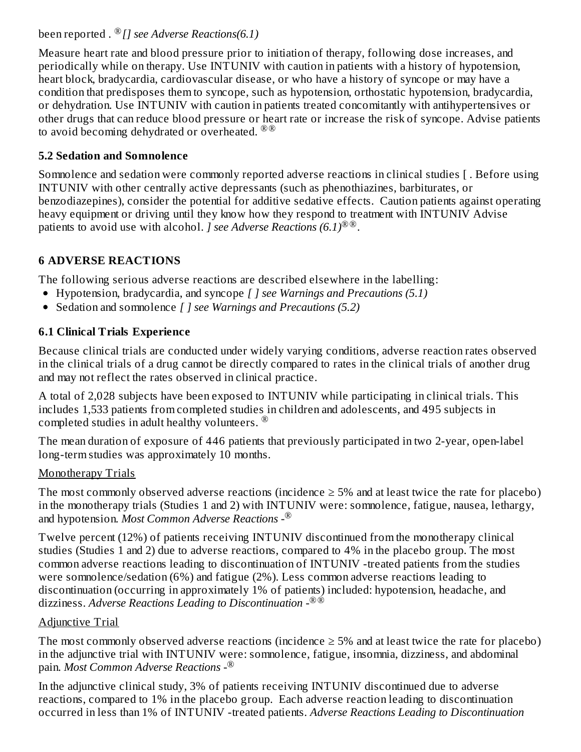been reported . *[] see Adverse Reactions(6.1)* ®

Measure heart rate and blood pressure prior to initiation of therapy, following dose increases, and periodically while on therapy. Use INTUNIV with caution in patients with a history of hypotension, heart block, bradycardia, cardiovascular disease, or who have a history of syncope or may have a condition that predisposes them to syncope, such as hypotension, orthostatic hypotension, bradycardia, or dehydration. Use INTUNIV with caution in patients treated concomitantly with antihypertensives or other drugs that can reduce blood pressure or heart rate or increase the risk of syncope. Advise patients to avoid becoming dehydrated or overheated. ®®

### **5.2 Sedation and Somnolence**

Somnolence and sedation were commonly reported adverse reactions in clinical studies [ . Before using INTUNIV with other centrally active depressants (such as phenothiazines, barbiturates, or benzodiazepines), consider the potential for additive sedative effects. Caution patients against operating heavy equipment or driving until they know how they respond to treatment with INTUNIV Advise patients to avoid use with alcohol. *] see Adverse Reactions*  $(6.1)^{③⑤}$ .

### **6 ADVERSE REACTIONS**

The following serious adverse reactions are described elsewhere in the labelling:

- Hypotension, bradycardia, and syncope *[ ] see Warnings and Precautions (5.1)*
- Sedation and somnolence *[ ] see Warnings and Precautions (5.2)*

### **6.1 Clinical Trials Experience**

Because clinical trials are conducted under widely varying conditions, adverse reaction rates observed in the clinical trials of a drug cannot be directly compared to rates in the clinical trials of another drug and may not reflect the rates observed in clinical practice.

A total of 2,028 subjects have been exposed to INTUNIV while participating in clinical trials. This includes 1,533 patients from completed studies in children and adolescents, and 495 subjects in completed studies in adult healthy volunteers. ®

The mean duration of exposure of 446 patients that previously participated in two 2-year, open-label long-term studies was approximately 10 months.

### Monotherapy Trials

The most commonly observed adverse reactions (incidence  $\geq$  5% and at least twice the rate for placebo) in the monotherapy trials (Studies 1 and 2) with INTUNIV were: somnolence, fatigue, nausea, lethargy, and hypotension. *Most Common Adverse Reactions -* ®

Twelve percent (12%) of patients receiving INTUNIV discontinued from the monotherapy clinical studies (Studies 1 and 2) due to adverse reactions, compared to 4% in the placebo group. The most common adverse reactions leading to discontinuation of INTUNIV -treated patients from the studies were somnolence/sedation (6%) and fatigue (2%). Less common adverse reactions leading to discontinuation (occurring in approximately 1% of patients) included: hypotension, headache, and dizziness. *Adverse Reactions Leading to Discontinuation -* ®®

### Adjunctive Trial

The most commonly observed adverse reactions (incidence  $\geq$  5% and at least twice the rate for placebo) in the adjunctive trial with INTUNIV were: somnolence, fatigue, insomnia, dizziness, and abdominal pain. *Most Common Adverse Reactions -* ®

In the adjunctive clinical study, 3% of patients receiving INTUNIV discontinued due to adverse reactions, compared to 1% in the placebo group. Each adverse reaction leading to discontinuation occurred in less than 1% of INTUNIV -treated patients. *Adverse Reactions Leading to Discontinuation*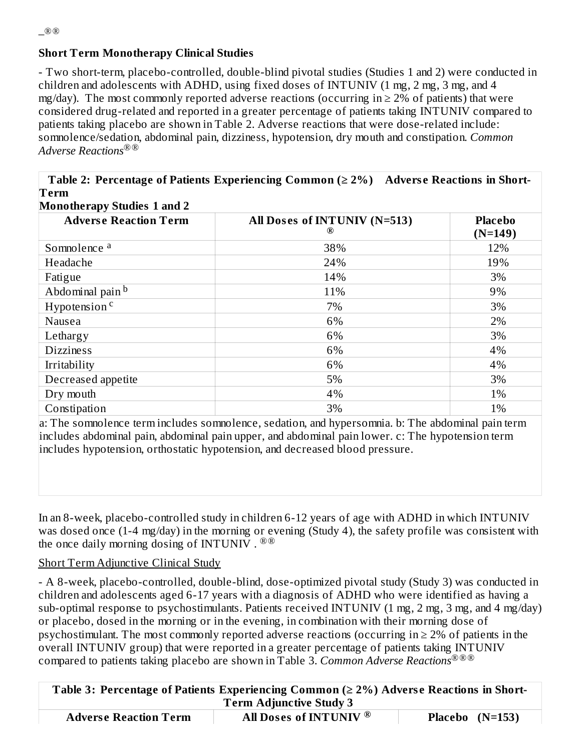#### **Short Term Monotherapy Clinical Studies**

- Two short-term, placebo-controlled, double-blind pivotal studies (Studies 1 and 2) were conducted in children and adolescents with ADHD, using fixed doses of INTUNIV (1 mg, 2 mg, 3 mg, and 4 mg/day). The most commonly reported adverse reactions (occurring in  $\geq 2\%$  of patients) that were considered drug-related and reported in a greater percentage of patients taking INTUNIV compared to patients taking placebo are shown in Table 2. Adverse reactions that were dose-related include: somnolence/sedation, abdominal pain, dizziness, hypotension, dry mouth and constipation. *Common Adverse Reactions* ®®

**Table 2: Percentage of Patients Experiencing Common (≥ 2%) Advers e Reactions in Short-Term**

|  | <b>Monotherapy Studies 1 and 2</b> |  |  |  |
|--|------------------------------------|--|--|--|
|  |                                    |  |  |  |

| when the ruply between $\epsilon$ and $\epsilon$ |                              |                |  |  |  |  |  |
|--------------------------------------------------|------------------------------|----------------|--|--|--|--|--|
| <b>Adverse Reaction Term</b>                     | All Doses of INTUNIV (N=513) | <b>Placebo</b> |  |  |  |  |  |
|                                                  | $\circledR$                  | $(N=149)$      |  |  |  |  |  |
| Somnolence <sup>a</sup>                          | 38%                          | 12%            |  |  |  |  |  |
| Headache                                         | 24%                          | 19%            |  |  |  |  |  |
| Fatigue                                          | 14%                          | 3%             |  |  |  |  |  |
| Abdominal pain <sup>b</sup>                      | 11%                          | 9%             |  |  |  |  |  |
| Hypotension <sup>c</sup>                         | 7%                           | 3%             |  |  |  |  |  |
| Nausea                                           | 6%                           | 2%             |  |  |  |  |  |
| Lethargy                                         | 6%                           | 3%             |  |  |  |  |  |
| <b>Dizziness</b>                                 | 6%                           | 4%             |  |  |  |  |  |
| Irritability                                     | 6%                           | 4%             |  |  |  |  |  |
| Decreased appetite                               | 5%                           | 3%             |  |  |  |  |  |
| Dry mouth                                        | 4%                           | 1%             |  |  |  |  |  |
| Constipation                                     | 3%                           | 1%             |  |  |  |  |  |

a: The somnolence term includes somnolence, sedation, and hypersomnia. b: The abdominal pain term includes abdominal pain, abdominal pain upper, and abdominal pain lower. c: The hypotension term includes hypotension, orthostatic hypotension, and decreased blood pressure.

In an 8-week, placebo-controlled study in children 6-12 years of age with ADHD in which INTUNIV was dosed once (1-4 mg/day) in the morning or evening (Study 4), the safety profile was consistent with the once daily morning dosing of INTUNIV . ®®

#### Short Term Adjunctive Clinical Study

- A 8-week, placebo-controlled, double-blind, dose-optimized pivotal study (Study 3) was conducted in children and adolescents aged 6-17 years with a diagnosis of ADHD who were identified as having a sub-optimal response to psychostimulants. Patients received INTUNIV (1 mg, 2 mg, 3 mg, and 4 mg/day) or placebo, dosed in the morning or in the evening, in combination with their morning dose of psychostimulant. The most commonly reported adverse reactions (occurring in  $\geq 2\%$  of patients in the overall INTUNIV group) that were reported in a greater percentage of patients taking INTUNIV compared to patients taking placebo are shown in Table 3. *Common Adverse Reactions* ®®®

| Table 3: Percentage of Patients Experiencing Common ( $\geq 2\%$ ) Adverse Reactions in Short- |  |  |  |  |  |
|------------------------------------------------------------------------------------------------|--|--|--|--|--|
| <b>Term Adjunctive Study 3</b>                                                                 |  |  |  |  |  |
| All Doses of INTUNIV $^\circledR$<br>Placebo (N=153)<br><b>Adverse Reaction Term</b>           |  |  |  |  |  |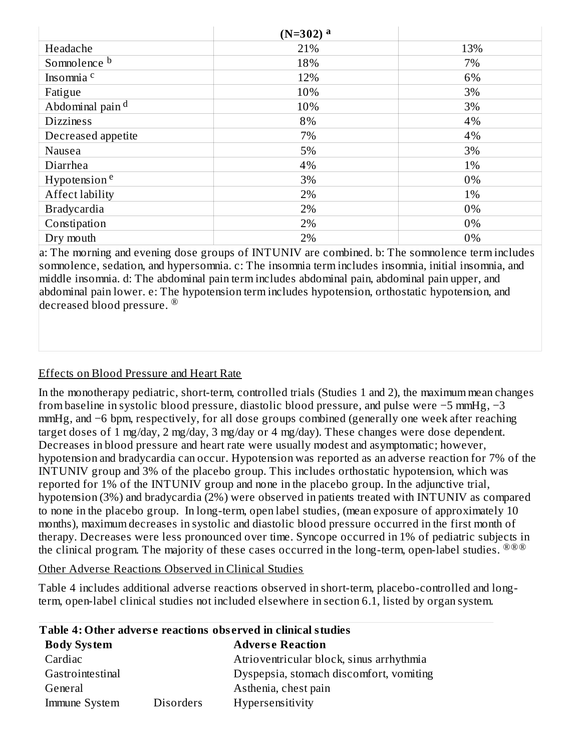|                             | $(N=302)$ <sup>a</sup> |     |
|-----------------------------|------------------------|-----|
| Headache                    | 21%                    | 13% |
| Somnolence b                | 18%                    | 7%  |
| Insomnia <sup>c</sup>       | 12%                    | 6%  |
| Fatigue                     | 10%                    | 3%  |
| Abdominal pain <sup>d</sup> | 10%                    | 3%  |
| <b>Dizziness</b>            | 8%                     | 4%  |
| Decreased appetite          | 7%                     | 4%  |
| Nausea                      | 5%                     | 3%  |
| Diarrhea                    | 4%                     | 1%  |
| Hypotension <sup>e</sup>    | 3%                     | 0%  |
| Affect lability             | 2%                     | 1%  |
| Bradycardia                 | 2%                     | 0%  |
| Constipation                | 2%                     | 0%  |
| Dry mouth                   | 2%                     | 0%  |

a: The morning and evening dose groups of INTUNIV are combined. b: The somnolence term includes somnolence, sedation, and hypersomnia. c: The insomnia term includes insomnia, initial insomnia, and middle insomnia. d: The abdominal pain term includes abdominal pain, abdominal pain upper, and abdominal pain lower. e: The hypotension term includes hypotension, orthostatic hypotension, and decreased blood pressure. ®

#### Effects on Blood Pressure and Heart Rate

In the monotherapy pediatric, short-term, controlled trials (Studies 1 and 2), the maximum mean changes from baseline in systolic blood pressure, diastolic blood pressure, and pulse were −5 mmHg, −3 mmHg, and −6 bpm, respectively, for all dose groups combined (generally one week after reaching target doses of 1 mg/day, 2 mg/day, 3 mg/day or 4 mg/day). These changes were dose dependent. Decreases in blood pressure and heart rate were usually modest and asymptomatic; however, hypotension and bradycardia can occur. Hypotension was reported as an adverse reaction for 7% of the INTUNIV group and 3% of the placebo group. This includes orthostatic hypotension, which was reported for 1% of the INTUNIV group and none in the placebo group. In the adjunctive trial, hypotension (3%) and bradycardia (2%) were observed in patients treated with INTUNIV as compared to none in the placebo group. In long-term, open label studies, (mean exposure of approximately 10 months), maximum decreases in systolic and diastolic blood pressure occurred in the first month of therapy. Decreases were less pronounced over time. Syncope occurred in 1% of pediatric subjects in the clinical program. The majority of these cases occurred in the long-term, open-label studies.  $^{\circledR \circledR}$ 

#### Other Adverse Reactions Observed in Clinical Studies

Table 4 includes additional adverse reactions observed in short-term, placebo-controlled and longterm, open-label clinical studies not included elsewhere in section 6.1, listed by organ system.

| Table 4: Other adverse reactions observed in clinical studies |                  |                                          |  |  |  |
|---------------------------------------------------------------|------------------|------------------------------------------|--|--|--|
| <b>Body System</b>                                            |                  | <b>Adverse Reaction</b>                  |  |  |  |
| Cardiac                                                       |                  | Atrioventricular block, sinus arrhythmia |  |  |  |
| Gastrointestinal                                              |                  | Dyspepsia, stomach discomfort, vomiting  |  |  |  |
| General                                                       |                  | Asthenia, chest pain                     |  |  |  |
| Immune System                                                 | <b>Disorders</b> | Hypersensitivity                         |  |  |  |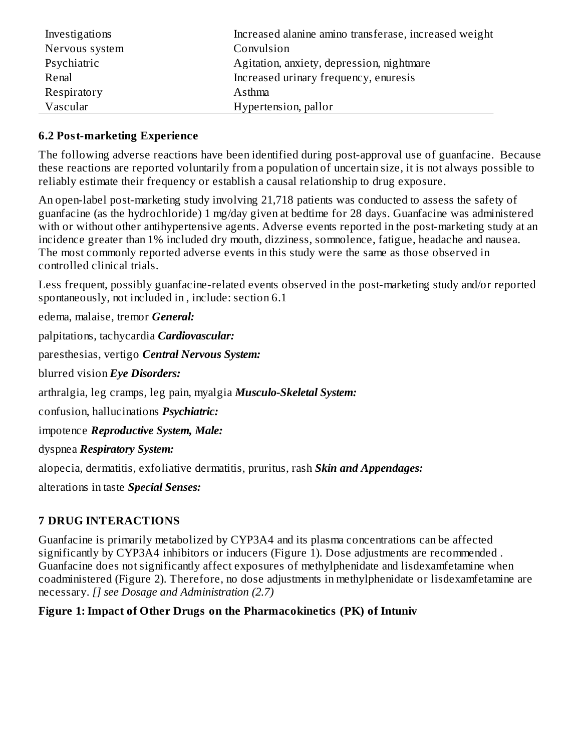| Investigations | Increased alanine amino transferase, increased weight |
|----------------|-------------------------------------------------------|
| Nervous system | Convulsion                                            |
| Psychiatric    | Agitation, anxiety, depression, nightmare             |
| Renal          | Increased urinary frequency, enuresis                 |
| Respiratory    | Asthma                                                |
| Vascular       | Hypertension, pallor                                  |

#### **6.2 Post-marketing Experience**

The following adverse reactions have been identified during post-approval use of guanfacine. Because these reactions are reported voluntarily from a population of uncertain size, it is not always possible to reliably estimate their frequency or establish a causal relationship to drug exposure.

An open-label post-marketing study involving 21,718 patients was conducted to assess the safety of guanfacine (as the hydrochloride) 1 mg/day given at bedtime for 28 days. Guanfacine was administered with or without other antihypertensive agents. Adverse events reported in the post-marketing study at an incidence greater than 1% included dry mouth, dizziness, somnolence, fatigue, headache and nausea. The most commonly reported adverse events in this study were the same as those observed in controlled clinical trials.

Less frequent, possibly guanfacine-related events observed in the post-marketing study and/or reported spontaneously, not included in , include: section 6.1

edema, malaise, tremor *General:*

palpitations, tachycardia *Cardiovascular:*

paresthesias, vertigo *Central Nervous System:*

blurred vision *Eye Disorders:*

arthralgia, leg cramps, leg pain, myalgia *Musculo-Skeletal System:*

confusion, hallucinations *Psychiatric:*

impotence *Reproductive System, Male:*

dyspnea *Respiratory System:*

alopecia, dermatitis, exfoliative dermatitis, pruritus, rash *Skin and Appendages:*

alterations in taste *Special Senses:*

### **7 DRUG INTERACTIONS**

Guanfacine is primarily metabolized by CYP3A4 and its plasma concentrations can be affected significantly by CYP3A4 inhibitors or inducers (Figure 1). Dose adjustments are recommended . Guanfacine does not significantly affect exposures of methylphenidate and lisdexamfetamine when coadministered (Figure 2). Therefore, no dose adjustments in methylphenidate or lisdexamfetamine are necessary. *[] see Dosage and Administration (2.7)*

### **Figure 1:Impact of Other Drugs on the Pharmacokinetics (PK) of Intuniv**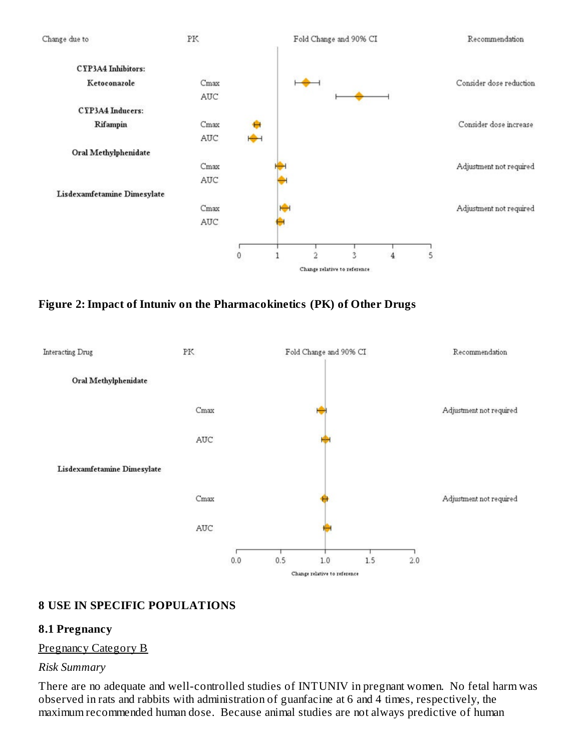

#### **Figure 2:Impact of Intuniv on the Pharmacokinetics (PK) of Other Drugs**



#### **8 USE IN SPECIFIC POPULATIONS**

#### **8.1 Pregnancy**

#### Pregnancy Category B

#### *Risk Summary*

There are no adequate and well-controlled studies of INTUNIV in pregnant women. No fetal harm was observed in rats and rabbits with administration of guanfacine at 6 and 4 times, respectively, the maximum recommended human dose. Because animal studies are not always predictive of human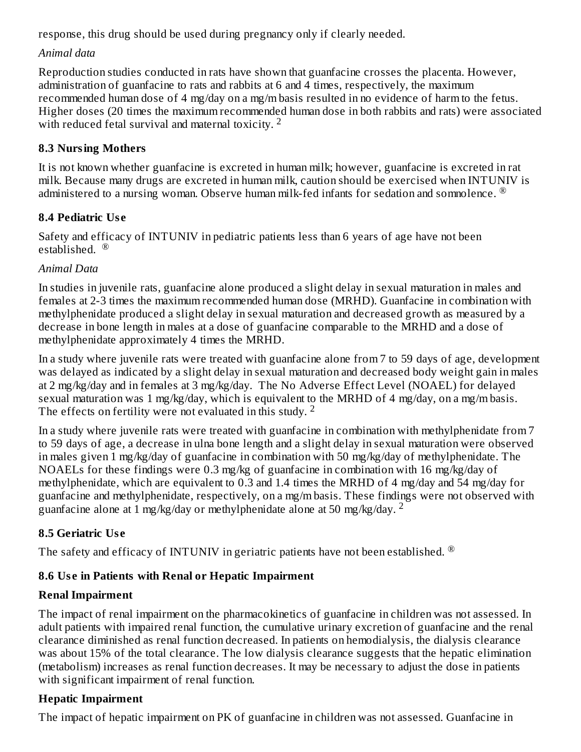response, this drug should be used during pregnancy only if clearly needed.

### *Animal data*

Reproduction studies conducted in rats have shown that guanfacine crosses the placenta. However, administration of guanfacine to rats and rabbits at 6 and 4 times, respectively, the maximum recommended human dose of 4 mg/day on a mg/m basis resulted in no evidence of harm to the fetus. Higher doses (20 times the maximum recommended human dose in both rabbits and rats) were associated with reduced fetal survival and maternal toxicity.<sup>2</sup>

## **8.3 Nursing Mothers**

It is not known whether guanfacine is excreted in human milk; however, guanfacine is excreted in rat milk. Because many drugs are excreted in human milk, caution should be exercised when INTUNIV is administered to a nursing woman. Observe human milk-fed infants for sedation and somnolence.  $^{\circledR}$ 

### **8.4 Pediatric Us e**

Safety and efficacy of INTUNIV in pediatric patients less than 6 years of age have not been established. ®

### *Animal Data*

In studies in juvenile rats, guanfacine alone produced a slight delay in sexual maturation in males and females at 2-3 times the maximum recommended human dose (MRHD). Guanfacine in combination with methylphenidate produced a slight delay in sexual maturation and decreased growth as measured by a decrease in bone length in males at a dose of guanfacine comparable to the MRHD and a dose of methylphenidate approximately 4 times the MRHD.

In a study where juvenile rats were treated with guanfacine alone from 7 to 59 days of age, development was delayed as indicated by a slight delay in sexual maturation and decreased body weight gain in males at 2 mg/kg/day and in females at 3 mg/kg/day. The No Adverse Effect Level (NOAEL) for delayed sexual maturation was 1 mg/kg/day, which is equivalent to the MRHD of 4 mg/day, on a mg/m basis. The effects on fertility were not evaluated in this study.<sup>2</sup>

In a study where juvenile rats were treated with guanfacine in combination with methylphenidate from 7 to 59 days of age, a decrease in ulna bone length and a slight delay in sexual maturation were observed in males given 1 mg/kg/day of guanfacine in combination with 50 mg/kg/day of methylphenidate. The NOAELs for these findings were 0.3 mg/kg of guanfacine in combination with 16 mg/kg/day of methylphenidate, which are equivalent to 0.3 and 1.4 times the MRHD of 4 mg/day and 54 mg/day for guanfacine and methylphenidate, respectively, on a mg/m basis. These findings were not observed with guanfacine alone at  $1 \text{ mg/kg/day}$  or methylphenidate alone at 50 mg/kg/day. <sup>2</sup>

# **8.5 Geriatric Us e**

The safety and efficacy of INTUNIV in geriatric patients have not been established.  $^{\circledR}$ 

# **8.6 Us e in Patients with Renal or Hepatic Impairment**

# **Renal Impairment**

The impact of renal impairment on the pharmacokinetics of guanfacine in children was not assessed. In adult patients with impaired renal function, the cumulative urinary excretion of guanfacine and the renal clearance diminished as renal function decreased. In patients on hemodialysis, the dialysis clearance was about 15% of the total clearance. The low dialysis clearance suggests that the hepatic elimination (metabolism) increases as renal function decreases. It may be necessary to adjust the dose in patients with significant impairment of renal function.

# **Hepatic Impairment**

The impact of hepatic impairment on PK of guanfacine in children was not assessed. Guanfacine in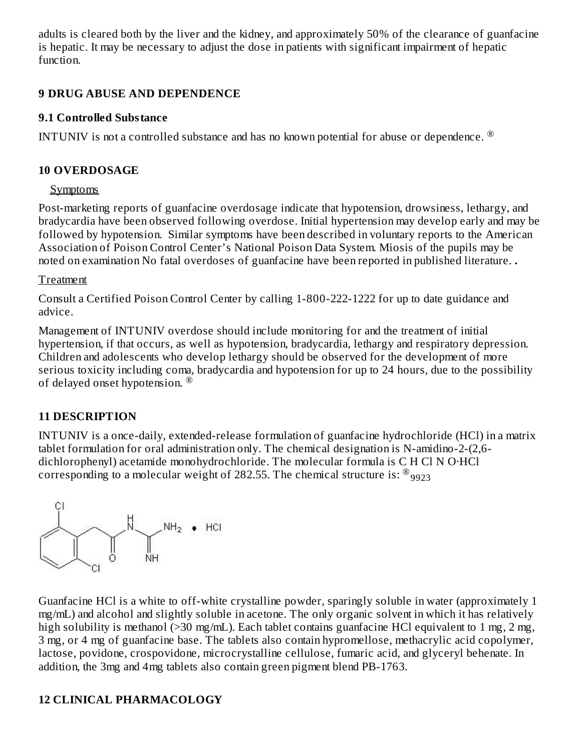adults is cleared both by the liver and the kidney, and approximately 50% of the clearance of guanfacine is hepatic. It may be necessary to adjust the dose in patients with significant impairment of hepatic function.

### **9 DRUG ABUSE AND DEPENDENCE**

## **9.1 Controlled Substance**

INTUNIV is not a controlled substance and has no known potential for abuse or dependence.  $^{\circledR}$ 

## **10 OVERDOSAGE**

### Symptoms

Post-marketing reports of guanfacine overdosage indicate that hypotension, drowsiness, lethargy, and bradycardia have been observed following overdose. Initial hypertension may develop early and may be followed by hypotension. Similar symptoms have been described in voluntary reports to the American Association of Poison Control Center's National Poison Data System. Miosis of the pupils may be noted on examination No fatal overdoses of guanfacine have been reported in published literature. **.**

### Treatment

Consult a Certified Poison Control Center by calling 1-800-222-1222 for up to date guidance and advice.

Management of INTUNIV overdose should include monitoring for and the treatment of initial hypertension, if that occurs, as well as hypotension, bradycardia, lethargy and respiratory depression. Children and adolescents who develop lethargy should be observed for the development of more serious toxicity including coma, bradycardia and hypotension for up to 24 hours, due to the possibility of delayed onset hypotension. ®

# **11 DESCRIPTION**

INTUNIV is a once-daily, extended-release formulation of guanfacine hydrochloride (HCl) in a matrix tablet formulation for oral administration only. The chemical designation is N-amidino-2-(2,6 dichlorophenyl) acetamide monohydrochloride. The molecular formula is C H Cl N O·HCl corresponding to a molecular weight of 282.55. The chemical structure is:  $^{\circledR}$ <sub>9923</sub>



Guanfacine HCl is a white to off-white crystalline powder, sparingly soluble in water (approximately 1 mg/mL) and alcohol and slightly soluble in acetone. The only organic solvent in which it has relatively high solubility is methanol (>30 mg/mL). Each tablet contains guanfacine HCl equivalent to 1 mg, 2 mg, 3 mg, or 4 mg of guanfacine base. The tablets also contain hypromellose, methacrylic acid copolymer, lactose, povidone, crospovidone, microcrystalline cellulose, fumaric acid, and glyceryl behenate. In addition, the 3mg and 4mg tablets also contain green pigment blend PB-1763.

# **12 CLINICAL PHARMACOLOGY**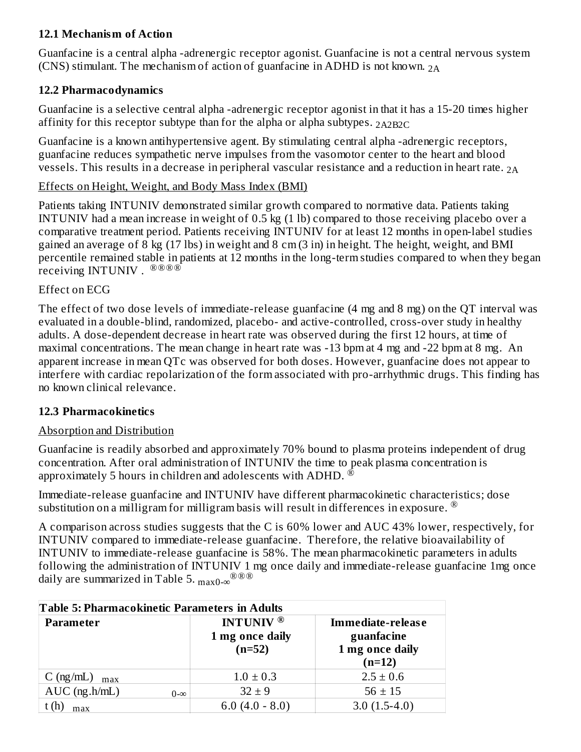#### **12.1 Mechanism of Action**

Guanfacine is a central alpha -adrenergic receptor agonist. Guanfacine is not a central nervous system (CNS) stimulant. The mechanism of action of guanfacine in ADHD is not known.  $_{2A}$ 

#### **12.2 Pharmacodynamics**

Guanfacine is a selective central alpha -adrenergic receptor agonist in that it has a 15-20 times higher affinity for this receptor subtype than for the alpha or alpha subtypes. 2A2B2C

Guanfacine is a known antihypertensive agent. By stimulating central alpha -adrenergic receptors, guanfacine reduces sympathetic nerve impulses from the vasomotor center to the heart and blood vessels. This results in a decrease in peripheral vascular resistance and a reduction in heart rate.  $_{\rm 2A}$ 

#### Effects on Height, Weight, and Body Mass Index (BMI)

Patients taking INTUNIV demonstrated similar growth compared to normative data. Patients taking INTUNIV had a mean increase in weight of 0.5 kg (1 lb) compared to those receiving placebo over a comparative treatment period. Patients receiving INTUNIV for at least 12 months in open-label studies gained an average of 8 kg (17 lbs) in weight and 8 cm (3 in) in height. The height, weight, and BMI percentile remained stable in patients at 12 months in the long-term studies compared to when they began .<br>receiving INTUNIV . ®®®®

#### Effect on ECG

The effect of two dose levels of immediate-release guanfacine (4 mg and 8 mg) on the QT interval was evaluated in a double-blind, randomized, placebo- and active-controlled, cross-over study in healthy adults. A dose-dependent decrease in heart rate was observed during the first 12 hours, at time of maximal concentrations. The mean change in heart rate was -13 bpm at 4 mg and -22 bpm at 8 mg. An apparent increase in mean QTc was observed for both doses. However, guanfacine does not appear to interfere with cardiac repolarization of the form associated with pro-arrhythmic drugs. This finding has no known clinical relevance.

#### **12.3 Pharmacokinetics**

#### Absorption and Distribution

Guanfacine is readily absorbed and approximately 70% bound to plasma proteins independent of drug concentration. After oral administration of INTUNIV the time to peak plasma concentration is approximately 5 hours in children and adolescents with ADHD.  $^{\circledR}$ 

Immediate-release guanfacine and INTUNIV have different pharmacokinetic characteristics; dose substitution on a milligram for milligram basis will result in differences in exposure.  $^\circledR$ 

A comparison across studies suggests that the C is 60% lower and AUC 43% lower, respectively, for INTUNIV compared to immediate-release guanfacine. Therefore, the relative bioavailability of INTUNIV to immediate-release guanfacine is 58%. The mean pharmacokinetic parameters in adults following the administration of INTUNIV 1 mg once daily and immediate-release guanfacine 1mg once daily are summarized in Table 5.  $_{\rm{max0-}\infty}^{\circledR\circledR\circledR}$ 

| <b>Table 5: Pharmacokinetic Parameters in Adults</b> |                                                     |                                                                |  |  |  |  |  |
|------------------------------------------------------|-----------------------------------------------------|----------------------------------------------------------------|--|--|--|--|--|
| <b>Parameter</b>                                     | INTUNIV $\mathbb{R}$<br>1 mg once daily<br>$(n=52)$ | Immediate-release<br>guanfacine<br>1 mg once daily<br>$(n=12)$ |  |  |  |  |  |
| (ng/mL)<br>max                                       | $1.0 \pm 0.3$                                       | $2.5 \pm 0.6$                                                  |  |  |  |  |  |
| $AUC$ (ng.h/mL)<br>$0 - \infty$                      | $32 \pm 9$                                          | $56 \pm 15$                                                    |  |  |  |  |  |
| max                                                  | $6.0(4.0 - 8.0)$                                    | $3.0(1.5-4.0)$                                                 |  |  |  |  |  |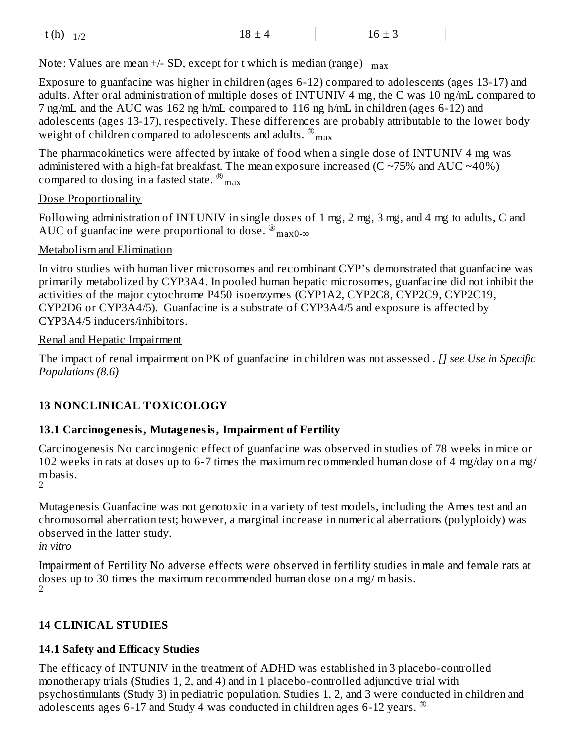Note: Values are mean +/- SD, except for t which is median (range)  $_{\rm max}$ 

Exposure to guanfacine was higher in children (ages 6-12) compared to adolescents (ages 13-17) and adults. After oral administration of multiple doses of INTUNIV 4 mg, the C was 10 ng/mL compared to 7 ng/mL and the AUC was 162 ng h/mL compared to 116 ng h/mL in children (ages 6-12) and adolescents (ages 13-17), respectively. These differences are probably attributable to the lower body weight of children compared to adolescents and adults.  $^{\circledR}$   $_{\rm max}$ 

The pharmacokinetics were affected by intake of food when a single dose of INTUNIV 4 mg was administered with a high-fat breakfast. The mean exposure increased ( $C \sim 75\%$  and AUC  $\sim 40\%$ ) compared to dosing in a fasted state.  $^{\circledR}$ <sub>max</sub>

#### Dose Proportionality

Following administration of INTUNIV in single doses of 1 mg, 2 mg, 3 mg, and 4 mg to adults, C and AUC of guanfacine were proportional to dose.  $^{\circledR}$ <sub>max0-∞</sub>

#### Metabolism and Elimination

In vitro studies with human liver microsomes and recombinant CYP's demonstrated that guanfacine was primarily metabolized by CYP3A4. In pooled human hepatic microsomes, guanfacine did not inhibit the activities of the major cytochrome P450 isoenzymes (CYP1A2, CYP2C8, CYP2C9, CYP2C19, CYP2D6 or CYP3A4/5). Guanfacine is a substrate of CYP3A4/5 and exposure is affected by CYP3A4/5 inducers/inhibitors.

#### Renal and Hepatic Impairment

The impact of renal impairment on PK of guanfacine in children was not assessed . *[] see Use in Specific Populations (8.6)*

#### **13 NONCLINICAL TOXICOLOGY**

#### **13.1 Carcinogenesis, Mutagenesis, Impairment of Fertility**

Carcinogenesis No carcinogenic effect of guanfacine was observed in studies of 78 weeks in mice or 102 weeks in rats at doses up to 6-7 times the maximum recommended human dose of 4 mg/day on a mg/ m basis.

2

Mutagenesis Guanfacine was not genotoxic in a variety of test models, including the Ames test and an chromosomal aberration test; however, a marginal increase in numerical aberrations (polyploidy) was observed in the latter study.

*in vitro*

Impairment of Fertility No adverse effects were observed in fertility studies in male and female rats at doses up to 30 times the maximum recommended human dose on a mg/ m basis. 2

### **14 CLINICAL STUDIES**

#### **14.1 Safety and Efficacy Studies**

The efficacy of INTUNIV in the treatment of ADHD was established in 3 placebo-controlled monotherapy trials (Studies 1, 2, and 4) and in 1 placebo-controlled adjunctive trial with psychostimulants (Study 3) in pediatric population. Studies 1, 2, and 3 were conducted in children and adolescents ages 6-17 and Study 4 was conducted in children ages 6-12 years.  $^{\circledR}$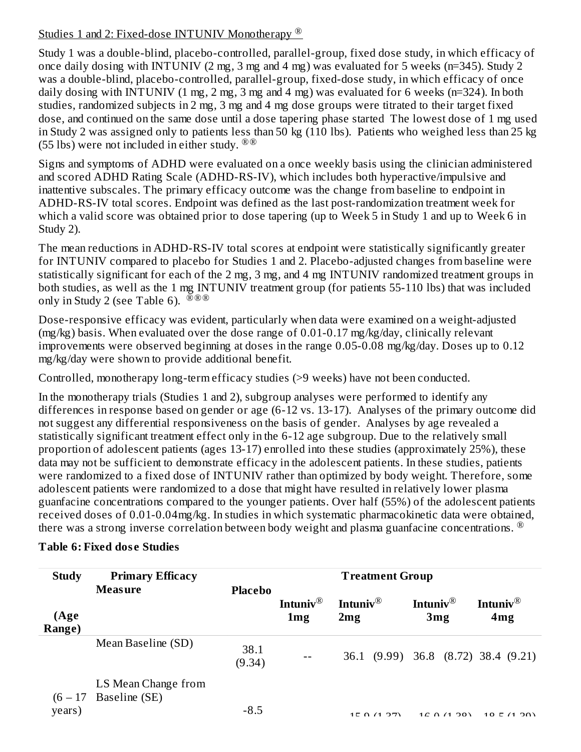#### Studies 1 and 2: Fixed-dose INTUNIV Monotherapy ®

Study 1 was a double-blind, placebo-controlled, parallel-group, fixed dose study, in which efficacy of once daily dosing with INTUNIV (2 mg, 3 mg and 4 mg) was evaluated for 5 weeks (n=345). Study 2 was a double-blind, placebo-controlled, parallel-group, fixed-dose study, in which efficacy of once daily dosing with INTUNIV (1 mg, 2 mg, 3 mg and 4 mg) was evaluated for 6 weeks (n=324). In both studies, randomized subjects in 2 mg, 3 mg and 4 mg dose groups were titrated to their target fixed dose, and continued on the same dose until a dose tapering phase started The lowest dose of 1 mg used in Study 2 was assigned only to patients less than 50 kg (110 lbs). Patients who weighed less than 25 kg (55 lbs) were not included in either study.  $^{\circledR}$ 

Signs and symptoms of ADHD were evaluated on a once weekly basis using the clinician administered and scored ADHD Rating Scale (ADHD-RS-IV), which includes both hyperactive/impulsive and inattentive subscales. The primary efficacy outcome was the change from baseline to endpoint in ADHD-RS-IV total scores. Endpoint was defined as the last post-randomization treatment week for which a valid score was obtained prior to dose tapering (up to Week 5 in Study 1 and up to Week 6 in Study 2).

The mean reductions in ADHD-RS-IV total scores at endpoint were statistically significantly greater for INTUNIV compared to placebo for Studies 1 and 2. Placebo-adjusted changes from baseline were statistically significant for each of the 2 mg, 3 mg, and 4 mg INTUNIV randomized treatment groups in both studies, as well as the 1 mg INTUNIV treatment group (for patients 55-110 lbs) that was included only in Study 2 (see Table 6).  $^{\mathfrak{so}_\circledR\otimes}$ 

Dose-responsive efficacy was evident, particularly when data were examined on a weight-adjusted (mg/kg) basis. When evaluated over the dose range of 0.01-0.17 mg/kg/day, clinically relevant improvements were observed beginning at doses in the range 0.05-0.08 mg/kg/day. Doses up to 0.12 mg/kg/day were shown to provide additional benefit.

Controlled, monotherapy long-term efficacy studies (>9 weeks) have not been conducted.

In the monotherapy trials (Studies 1 and 2), subgroup analyses were performed to identify any differences in response based on gender or age (6-12 vs. 13-17). Analyses of the primary outcome did not suggest any differential responsiveness on the basis of gender. Analyses by age revealed a statistically significant treatment effect only in the 6-12 age subgroup. Due to the relatively small proportion of adolescent patients (ages 13-17) enrolled into these studies (approximately 25%), these data may not be sufficient to demonstrate efficacy in the adolescent patients. In these studies, patients were randomized to a fixed dose of INTUNIV rather than optimized by body weight. Therefore, some adolescent patients were randomized to a dose that might have resulted in relatively lower plasma guanfacine concentrations compared to the younger patients. Over half (55%) of the adolescent patients received doses of 0.01-0.04mg/kg. In studies in which systematic pharmacokinetic data were obtained, there was a strong inverse correlation between body weight and plasma guanfacine concentrations. ®

| <b>Study</b>   | <b>Primary Efficacy</b>                       |                | <b>Treatment Group</b>                  |                             |                                     |                               |
|----------------|-----------------------------------------------|----------------|-----------------------------------------|-----------------------------|-------------------------------------|-------------------------------|
| (Age<br>Range) | Measure                                       | <b>Placebo</b> | Intuniv <sup>®</sup><br>1 <sub>mg</sub> | Intuniv <sup>®</sup><br>2mg | Intuniv <sup>®</sup><br>3mg         | Intuniv $^{\circledR}$<br>4mg |
|                | Mean Baseline (SD)                            | 38.1<br>(9.34) | $ -$                                    |                             | 36.1 (9.99) 36.8 (8.72) 38.4 (9.21) |                               |
| years)         | LS Mean Change from<br>$(6-17)$ Baseline (SE) | $-8.5$         |                                         | 1 $\Gamma$ $(1.27)$         | 1 <i>C</i> $\Lambda$ (1 20)         | 10 F $(1.20)$                 |

#### **Table 6: Fixed dos e Studies**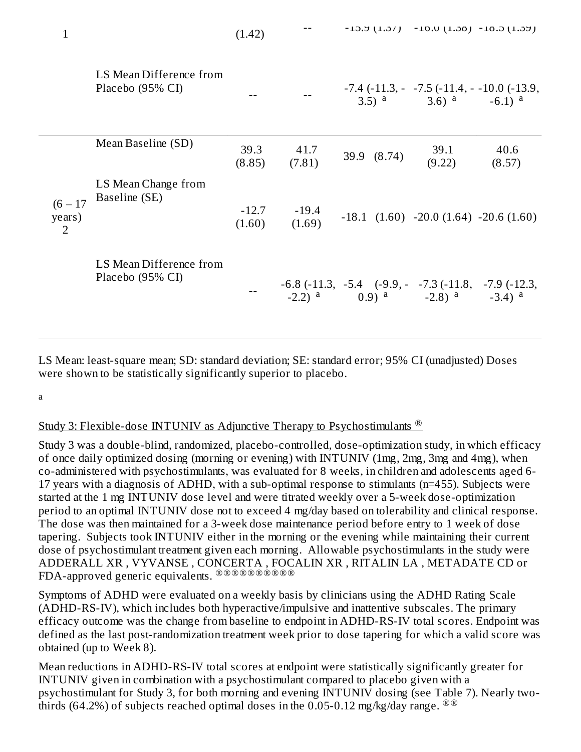| (1.42) | $- -$ | (1.37) 5.01 - (1.30) 10.01 - (1.61) 5.51 - |  |
|--------|-------|--------------------------------------------|--|
|        |       |                                            |  |

|                                        | LS Mean Difference from<br>Placebo (95% CI) |                   |                   |                                                                                                                          | 3.5) <sup>a</sup> 3.6) <sup>a</sup> -6.1) <sup>a</sup> | $-7.4$ ( $-11.3$ , $-7.5$ ( $-11.4$ , $-10.0$ ( $-13.9$ ), |
|----------------------------------------|---------------------------------------------|-------------------|-------------------|--------------------------------------------------------------------------------------------------------------------------|--------------------------------------------------------|------------------------------------------------------------|
|                                        | Mean Baseline (SD)                          | 39.3<br>(8.85)    | 41.7<br>(7.81)    | 39.9 (8.74)                                                                                                              | 39.1<br>(9.22)                                         | 40.6<br>(8.57)                                             |
| $(6 - 17)$<br>years)<br>$\overline{2}$ | LS Mean Change from<br>Baseline (SE)        | $-12.7$<br>(1.60) | $-19.4$<br>(1.69) | $-18.1$ $(1.60)$ $-20.0$ $(1.64)$ $-20.6$ $(1.60)$                                                                       |                                                        |                                                            |
|                                        | LS Mean Difference from<br>Placebo (95% CI) |                   |                   | $-6.8$ ( $-11.3$ , $-5.4$ ( $-9.9$ , $-7.3$ ( $-11.8$ , $-7.9$ ( $-12.3$ )<br>$-2.2$ ) a $0.9$ ) a $-2.8$ ) a $-3.4$ ) a |                                                        |                                                            |

LS Mean: least-square mean; SD: standard deviation; SE: standard error; 95% CI (unadjusted) Doses were shown to be statistically significantly superior to placebo.

a

#### Study 3: Flexible-dose INTUNIV as Adjunctive Therapy to Psychostimulants <sup>®</sup>

Study 3 was a double-blind, randomized, placebo-controlled, dose-optimization study, in which efficacy of once daily optimized dosing (morning or evening) with INTUNIV (1mg, 2mg, 3mg and 4mg), when co-administered with psychostimulants, was evaluated for 8 weeks, in children and adolescents aged 6- 17 years with a diagnosis of ADHD, with a sub-optimal response to stimulants (n=455). Subjects were started at the 1 mg INTUNIV dose level and were titrated weekly over a 5-week dose-optimization period to an optimal INTUNIV dose not to exceed 4 mg/day based on tolerability and clinical response. The dose was then maintained for a 3-week dose maintenance period before entry to 1 week of dose tapering. Subjects took INTUNIV either in the morning or the evening while maintaining their current dose of psychostimulant treatment given each morning. Allowable psychostimulants in the study were ADDERALL XR , VYVANSE , CONCERTA , FOCALIN XR , RITALIN LA , METADATE CD or FDA-approved generic equivalents. ®®®®®®®®®®

Symptoms of ADHD were evaluated on a weekly basis by clinicians using the ADHD Rating Scale (ADHD-RS-IV), which includes both hyperactive/impulsive and inattentive subscales. The primary efficacy outcome was the change from baseline to endpoint in ADHD-RS-IV total scores. Endpoint was defined as the last post-randomization treatment week prior to dose tapering for which a valid score was obtained (up to Week 8).

Mean reductions in ADHD-RS-IV total scores at endpoint were statistically significantly greater for INTUNIV given in combination with a psychostimulant compared to placebo given with a psychostimulant for Study 3, for both morning and evening INTUNIV dosing (see Table 7). Nearly twothirds (64.2%) of subjects reached optimal doses in the 0.05-0.12 mg/kg/day range.  $^{\circledR\circledR}$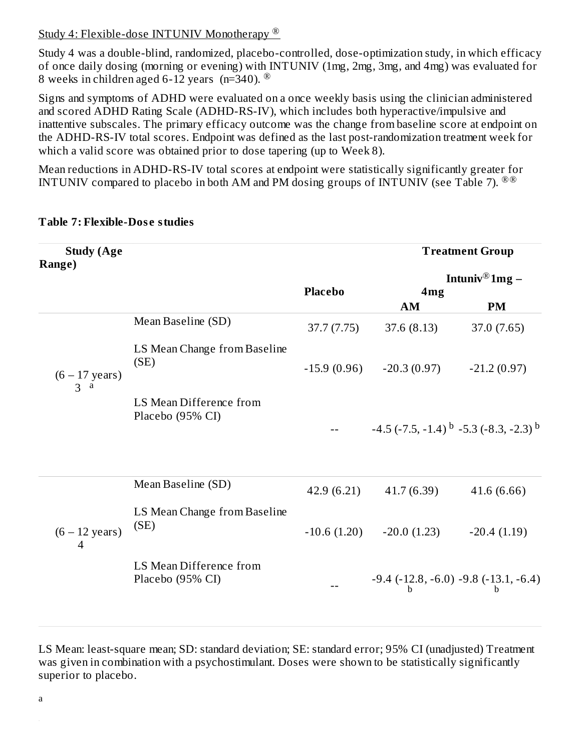#### Study 4: Flexible-dose INTUNIV Monotherapy<sup>®</sup>

Study 4 was a double-blind, randomized, placebo-controlled, dose-optimization study, in which efficacy of once daily dosing (morning or evening) with INTUNIV (1mg, 2mg, 3mg, and 4mg) was evaluated for 8 weeks in children aged 6-12 years (n=340).  $^{\circledR}$ 

Signs and symptoms of ADHD were evaluated on a once weekly basis using the clinician administered and scored ADHD Rating Scale (ADHD-RS-IV), which includes both hyperactive/impulsive and inattentive subscales. The primary efficacy outcome was the change from baseline score at endpoint on the ADHD-RS-IV total scores. Endpoint was defined as the last post-randomization treatment week for which a valid score was obtained prior to dose tapering (up to Week 8).

Mean reductions in ADHD-RS-IV total scores at endpoint were statistically significantly greater for INTUNIV compared to placebo in both AM and PM dosing groups of INTUNIV (see Table 7).  $^{\circledR\circledR}$ 

| <b>Study (Age</b><br>Range)                |                                             |                |                                                                                 | <b>Treatment Group</b>     |
|--------------------------------------------|---------------------------------------------|----------------|---------------------------------------------------------------------------------|----------------------------|
|                                            |                                             | <b>Placebo</b> | 4 <sub>mg</sub>                                                                 | Intuniv <sup>®</sup> 1mg – |
|                                            |                                             |                | AM                                                                              | <b>PM</b>                  |
|                                            | Mean Baseline (SD)                          | 37.7(7.75)     | 37.6(8.13)                                                                      | 37.0 (7.65)                |
| $(6 - 17 \text{ years})$<br>3 <sup>a</sup> | LS Mean Change from Baseline<br>(SE)        | $-15.9(0.96)$  | $-20.3(0.97)$                                                                   | $-21.2(0.97)$              |
|                                            | LS Mean Difference from<br>Placebo (95% CI) |                | $-4.5$ ( $-7.5$ , $-1.4$ ) <sup>b</sup> $-5.3$ ( $-8.3$ , $-2.3$ ) <sup>b</sup> |                            |
|                                            | Mean Baseline (SD)                          | 42.9 (6.21)    | 41.7(6.39)                                                                      | 41.6(6.66)                 |
| $(6 - 12 \text{ years})$<br>4              | LS Mean Change from Baseline<br>(SE)        | $-10.6(1.20)$  | $-20.0(1.23)$                                                                   | $-20.4(1.19)$              |
|                                            | LS Mean Difference from<br>Placebo (95% CI) |                | $-9.4$ ( $-12.8$ , $-6.0$ ) $-9.8$ ( $-13.1$ , $-6.4$ )                         |                            |

#### **Table 7: Flexible-Dos e studies**

LS Mean: least-square mean; SD: standard deviation; SE: standard error; 95% CI (unadjusted) Treatment was given in combination with a psychostimulant. Doses were shown to be statistically significantly superior to placebo.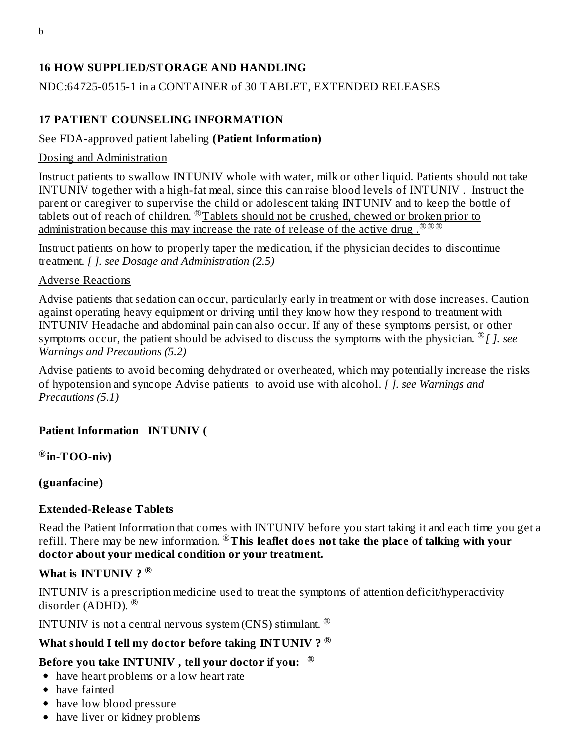### **16 HOW SUPPLIED/STORAGE AND HANDLING**

NDC:64725-0515-1 in a CONTAINER of 30 TABLET, EXTENDED RELEASES

## **17 PATIENT COUNSELING INFORMATION**

#### See FDA-approved patient labeling **(Patient Information)**

#### Dosing and Administration

Instruct patients to swallow INTUNIV whole with water, milk or other liquid. Patients should not take INTUNIV together with a high-fat meal, since this can raise blood levels of INTUNIV . Instruct the parent or caregiver to supervise the child or adolescent taking INTUNIV and to keep the bottle of tablets out of reach of children. <sup>®</sup>Tablets should not be crushed, chewed or broken prior to administration because this may increase the rate of release of the active drug *.* ®®®

Instruct patients on how to properly taper the medication, if the physician decides to discontinue treatment. *[ ]. see Dosage and Administration (2.5)*

#### Adverse Reactions

Advise patients that sedation can occur, particularly early in treatment or with dose increases. Caution against operating heavy equipment or driving until they know how they respond to treatment with INTUNIV Headache and abdominal pain can also occur. If any of these symptoms persist, or other symptoms occur, the patient should be advised to discuss the symptoms with the physician. *[ ]. see* ® *Warnings and Precautions (5.2)*

Advise patients to avoid becoming dehydrated or overheated, which may potentially increase the risks of hypotension and syncope Advise patients to avoid use with alcohol. *[ ]. see Warnings and Precautions (5.1)*

#### **Patient Information INTUNIV (**

#### **in-TOO-niv) ®**

#### **(guanfacine)**

#### **Extended-Releas e Tablets**

Read the Patient Information that comes with INTUNIV before you start taking it and each time you get a refill. There may be new information. **This leaflet does not take the place of talking with your** ® **doctor about your medical condition or your treatment.**

#### **What is INTUNIV ? ®**

INTUNIV is a prescription medicine used to treat the symptoms of attention deficit/hyperactivity disorder (ADHD). ®

INTUNIV is not a central nervous system (CNS) stimulant.  $^{\circledR}$ 

### **What should I tell my doctor before taking INTUNIV ? ®**

#### **Before you take INTUNIV , tell your doctor if you: ®**

- have heart problems or a low heart rate
- have fainted
- have low blood pressure
- have liver or kidney problems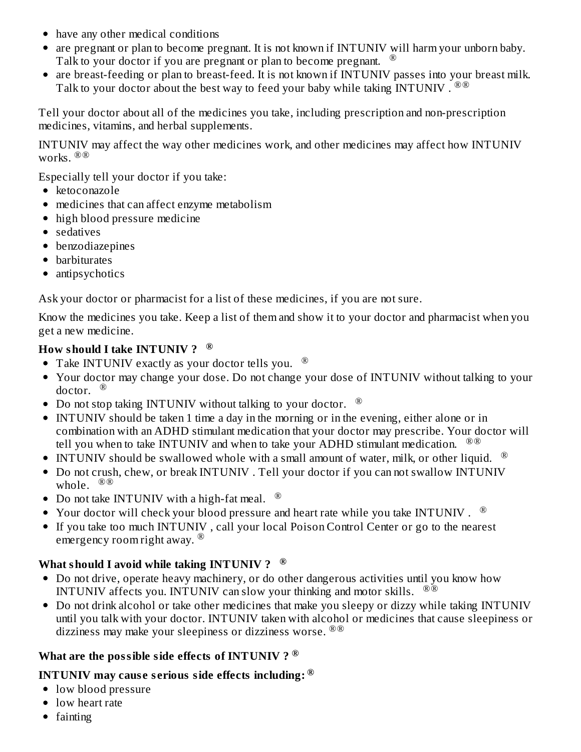- have any other medical conditions
- are pregnant or plan to become pregnant. It is not known if INTUNIV will harm your unborn baby. Talk to your doctor if you are pregnant or plan to become pregnant. ®
- are breast-feeding or plan to breast-feed. It is not known if INTUNIV passes into your breast milk. Talk to your doctor about the best way to feed your baby while taking INTUNIV .  $^{\circledR\otimes}$

Tell your doctor about all of the medicines you take, including prescription and non-prescription medicines, vitamins, and herbal supplements.

INTUNIV may affect the way other medicines work, and other medicines may affect how INTUNIV works. ®®

Especially tell your doctor if you take:

- ketoconazole
- medicines that can affect enzyme metabolism
- high blood pressure medicine
- sedatives
- benzodiazepines
- barbiturates
- antipsychotics

Ask your doctor or pharmacist for a list of these medicines, if you are not sure.

Know the medicines you take. Keep a list of them and show it to your doctor and pharmacist when you get a new medicine.

#### **How should I take INTUNIV ? ®**

- Take INTUNIV exactly as your doctor tells you.  $^\circledR$
- Your doctor may change your dose. Do not change your dose of INTUNIV without talking to your doctor. ®
- Do not stop taking INTUNIV without talking to your doctor.  $^{\circledR}$
- INTUNIV should be taken 1 time a day in the morning or in the evening, either alone or in combination with an ADHD stimulant medication that your doctor may prescribe. Your doctor will tell you when to take INTUNIV and when to take your ADHD stimulant medication. ®®
- INTUNIV should be swallowed whole with a small amount of water, milk, or other liquid.  $^{\circledR}$
- Do not crush, chew, or break INTUNIV. Tell your doctor if you can not swallow INTUNIV whole. ®®
- Do not take INTUNIV with a high-fat meal.  $^{\circledR}$
- Your doctor will check your blood pressure and heart rate while you take INTUNIV .  $^{\circledR}$
- If you take too much INTUNIV , call your local Poison Control Center or go to the nearest emergency room right away. <sup>®</sup>

# **What should I avoid while taking INTUNIV ? ®**

- Do not drive, operate heavy machinery, or do other dangerous activities until you know how INTUNIV affects you. INTUNIV can slow your thinking and motor skills.  $^{\circledR}$
- Do not drink alcohol or take other medicines that make you sleepy or dizzy while taking INTUNIV until you talk with your doctor. INTUNIV taken with alcohol or medicines that cause sleepiness or dizziness may make your sleepiness or dizziness worse. ®®

### **What are the possible side effects of INTUNIV ? ®**

# **INTUNIV may caus e s erious side effects including: ®**

- low blood pressure
- low heart rate
- fainting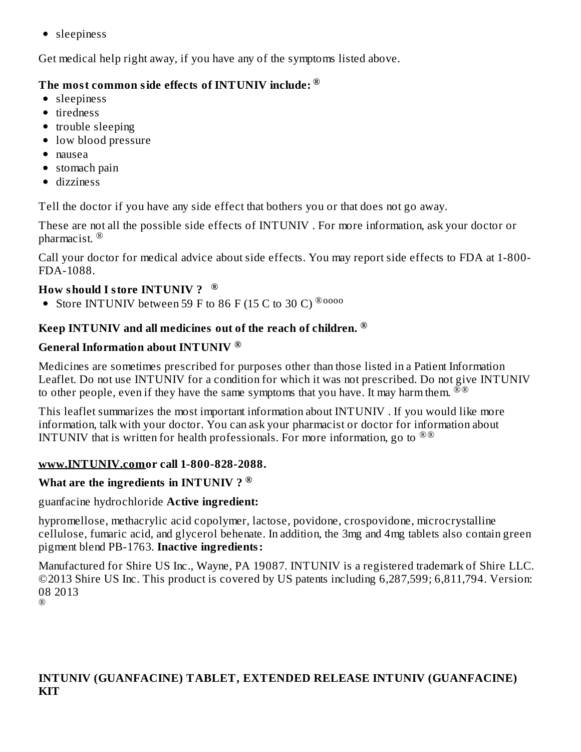• sleepiness

Get medical help right away, if you have any of the symptoms listed above.

### **The most common side effects of INTUNIV include: ®**

- sleepiness
- tiredness
- trouble sleeping
- low blood pressure
- nausea
- stomach pain
- dizziness

Tell the doctor if you have any side effect that bothers you or that does not go away.

These are not all the possible side effects of INTUNIV . For more information, ask your doctor or pharmacist. ®

Call your doctor for medical advice about side effects. You may report side effects to FDA at 1-800- FDA-1088.

### **How should I store INTUNIV ? ®**

Store INTUNIV between 59 F to 86 F (15 C to 30 C)  $^{\circledR\,0000}$ 

# **Keep INTUNIV and all medicines out of the reach of children. ®**

### **General Information about INTUNIV ®**

Medicines are sometimes prescribed for purposes other than those listed in a Patient Information Leaflet. Do not use INTUNIV for a condition for which it was not prescribed. Do not give INTUNIV to other people, even if they have the same symptoms that you have. It may harm them.  $^{\mathfrak{\bar{B}}\circledR}$ 

This leaflet summarizes the most important information about INTUNIV . If you would like more information, talk with your doctor. You can ask your pharmacist or doctor for information about INTUNIV that is written for health professionals. For more information, go to  $^{\circledR\otimes\bullet}$ 

### **www.INTUNIV.comor call 1-800-828-2088.**

### **What are the ingredients in INTUNIV ? ®**

guanfacine hydrochloride **Active ingredient:**

hypromellose, methacrylic acid copolymer, lactose, povidone, crospovidone, microcrystalline cellulose, fumaric acid, and glycerol behenate. In addition, the 3mg and 4mg tablets also contain green pigment blend PB-1763. **Inactive ingredients:**

Manufactured for Shire US Inc., Wayne, PA 19087. INTUNIV is a registered trademark of Shire LLC. ©2013 Shire US Inc. This product is covered by US patents including 6,287,599; 6,811,794. Version: 08 2013 ®

### **INTUNIV (GUANFACINE) TABLET, EXTENDED RELEASE INTUNIV (GUANFACINE) KIT**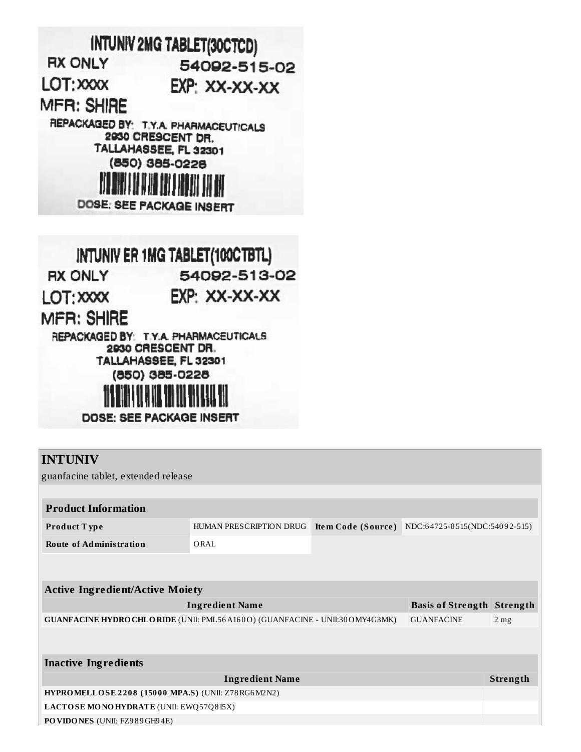

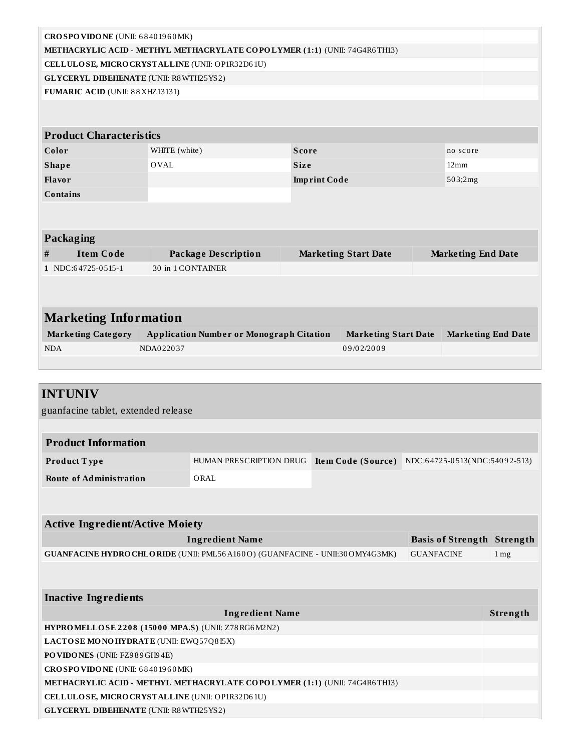| CROSPOVIDONE (UNII: 68401960MK)                                           |                                                                                |                            |                             |                           |  |                                                  |  |
|---------------------------------------------------------------------------|--------------------------------------------------------------------------------|----------------------------|-----------------------------|---------------------------|--|--------------------------------------------------|--|
| METHACRYLIC ACID - METHYL METHACRYLATE COPOLYMER (1:1) (UNII: 74G4R6TH13) |                                                                                |                            |                             |                           |  |                                                  |  |
| CELLULOSE, MICRO CRYSTALLINE (UNII: OP1R32D61U)                           |                                                                                |                            |                             |                           |  |                                                  |  |
| <b>GLYCERYL DIBEHENATE</b> (UNII: R8WTH25YS2)                             |                                                                                |                            |                             |                           |  |                                                  |  |
| FUMARIC ACID (UNII: 88XHZ13131)                                           |                                                                                |                            |                             |                           |  |                                                  |  |
|                                                                           |                                                                                |                            |                             |                           |  |                                                  |  |
| <b>Product Characteristics</b>                                            |                                                                                |                            |                             |                           |  |                                                  |  |
| Color                                                                     | WHITE (white)                                                                  |                            | <b>Score</b>                |                           |  | no score                                         |  |
| <b>Shape</b>                                                              | <b>OVAL</b>                                                                    |                            | <b>Size</b>                 |                           |  | $12 \,\mathrm{mm}$                               |  |
| Flavor                                                                    |                                                                                |                            | <b>Imprint Code</b>         |                           |  | 503;2mg                                          |  |
| <b>Contains</b>                                                           |                                                                                |                            |                             |                           |  |                                                  |  |
|                                                                           |                                                                                |                            |                             |                           |  |                                                  |  |
|                                                                           |                                                                                |                            |                             |                           |  |                                                  |  |
| Packaging                                                                 |                                                                                |                            |                             |                           |  |                                                  |  |
| <b>Item Code</b><br>#                                                     |                                                                                | <b>Package Description</b> | <b>Marketing Start Date</b> |                           |  | <b>Marketing End Date</b>                        |  |
| 1 NDC:64725-0515-1                                                        | 30 in 1 CONTAINER                                                              |                            |                             |                           |  |                                                  |  |
|                                                                           |                                                                                |                            |                             |                           |  |                                                  |  |
|                                                                           |                                                                                |                            |                             |                           |  |                                                  |  |
| <b>Marketing Information</b>                                              |                                                                                |                            |                             |                           |  |                                                  |  |
| <b>Marketing Category</b>                                                 | <b>Application Number or Monograph Citation</b><br><b>Marketing Start Date</b> |                            |                             | <b>Marketing End Date</b> |  |                                                  |  |
| <b>NDA</b>                                                                | NDA022037                                                                      |                            |                             | 09/02/2009                |  |                                                  |  |
|                                                                           |                                                                                |                            |                             |                           |  |                                                  |  |
|                                                                           |                                                                                |                            |                             |                           |  |                                                  |  |
| <b>INTUNIV</b>                                                            |                                                                                |                            |                             |                           |  |                                                  |  |
| guanfacine tablet, extended release                                       |                                                                                |                            |                             |                           |  |                                                  |  |
|                                                                           |                                                                                |                            |                             |                           |  |                                                  |  |
|                                                                           |                                                                                |                            |                             |                           |  |                                                  |  |
| <b>Product Information</b>                                                |                                                                                |                            |                             |                           |  |                                                  |  |
| Product Type                                                              |                                                                                | HUMAN PRESCRIPTION DRUG    |                             |                           |  | Item Code (Source) NDC:64725-0513(NDC:54092-513) |  |
| <b>Route of Administration</b>                                            |                                                                                | ORAL                       |                             |                           |  |                                                  |  |
|                                                                           |                                                                                |                            |                             |                           |  |                                                  |  |
|                                                                           |                                                                                |                            |                             |                           |  |                                                  |  |
| <b>Active Ingredient/Active Moiety</b>                                    |                                                                                |                            |                             |                           |  |                                                  |  |

| <b>Ingredient Name</b>                                                                         | <b>Basis of Strength Strength</b> |                   |
|------------------------------------------------------------------------------------------------|-----------------------------------|-------------------|
| <b>GUANFACINE HYDRO CHLO RIDE</b> (UNII: PML56A160O) (GUANFACINE - UNII:30OMY4G3MK) GUANFACINE |                                   | $1 \,\mathrm{mg}$ |

| <b>Inactive Ingredients</b>                                                      |          |  |  |  |
|----------------------------------------------------------------------------------|----------|--|--|--|
| <b>Ingredient Name</b>                                                           | Strength |  |  |  |
| <b>HYPROMELLOSE 2208 (15000 MPA.S) (UNII: Z78RG6M2N2)</b>                        |          |  |  |  |
| <b>LACTOSE MONOHYDRATE (UNII: EWQ57Q8I5X)</b>                                    |          |  |  |  |
| <b>PO VIDONES</b> (UNII: FZ989GH94E)                                             |          |  |  |  |
| CROSPOVIDONE (UNII: 68401960MK)                                                  |          |  |  |  |
| <b>METHACRYLIC ACID - METHYL METHACRYLATE COPOLYMER (1:1) (UNII: 74G4R6TH13)</b> |          |  |  |  |
| CELLULOSE, MICRO CRYSTALLINE (UNII: OP1R32D61U)                                  |          |  |  |  |
| <b>GLYCERYL DIBEHENATE (UNII: R8WTH25YS2)</b>                                    |          |  |  |  |